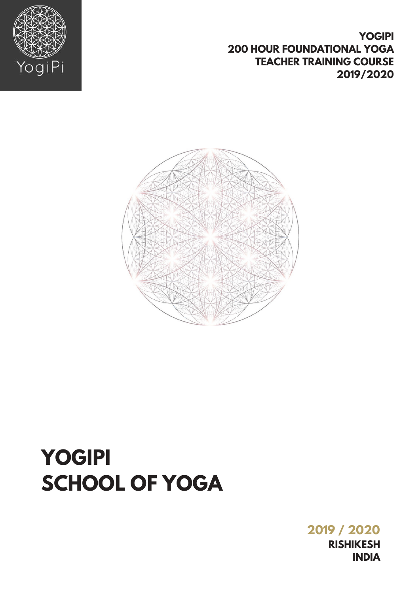**2019 / 2020 RISHIKESH INDIA** 

**YOGIPI** 

**2019/2020** 

**200 HOUR FOUNDATIONAL YOGA** 

**TEACHER TRAINING COURSE** 

## **YOGIPI SCHOOL OF YOGA**



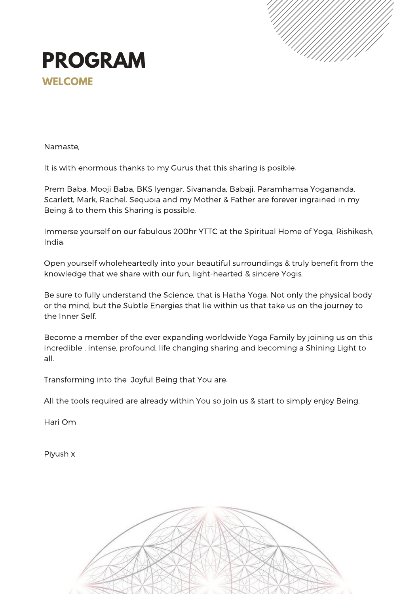



Namaste,

It is with enormous thanks to my Gurus that this sharing is posible.

Prem Baba, Mooji Baba, BKS Iyengar, Sivananda, Babaji, Paramhamsa Yogananda, Scarlett, Mark, Rachel, Sequoia and my Mother & Father are forever ingrained in my Being & to them this Sharing is possible.

Immerse yourself on our fabulous 200hr YTTC at the Spiritual Home of Yoga, Rishikesh, India.

Open yourself wholeheartedly into your beautiful surroundings & truly benefit from the knowledge that we share with our fun, light-hearted & sincere Yogis.

Be sure to fully understand the Science, that is Hatha Yoga. Not only the physical body or the mind, but the Subtle Energies that lie within us that take us on the journey to the Inner Self.

Become a member of the ever expanding worldwide Yoga Family by joining us on this incredible , intense, profound, life changing sharing and becoming a Shining Light to all.

Transforming into the Joyful Being that You are.

All the tools required are already within You so join us & start to simply enjoy Being.

Hari Om

Piyush x

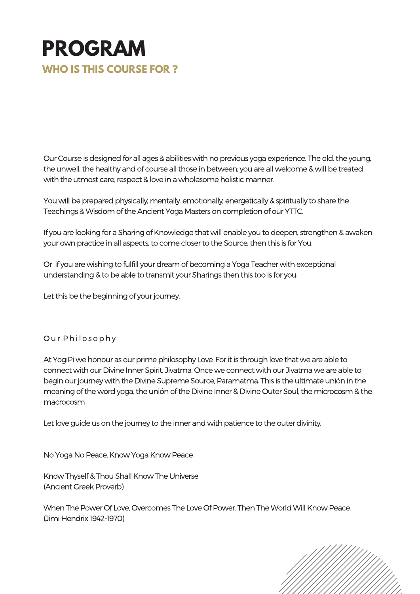## **PROGRAM WHO IS THIS COURSE FOR ?**

Our Course is designed for all ages & abilities with no previous yoga experience. The old, the young, the unwell, the healthy and of course all those in between; you are all welcome & will be treated with the utmost care, respect & love in a wholesome holistic manner.

You will be prepared physically, mentally, emotionally, energetically & spiritually to share the Teachings & Wisdom of the Ancient Yoga Masters on completion of our YTTC.

If you are looking for a Sharing of Knowledge that will enable you to deepen, strengthen & awaken your own practice in all aspects, to come closer to the Source, then this is for You.

Or if you are wishing to fulfill your dream of becoming a Yoga Teacher with exceptional understanding & to be able to transmit your Sharings then this too is for you.

Let this be the beginning of your journey.

#### Our Philosophy

At YogiPi we honour as our prime philosophy Love. For it is through love that we are able to connect with our Divine Inner Spirit, Jivatma. Once we connect with our Jivatma we are able to begin our journey with the Divine Supreme Source, Paramatma. This is the ultimate unión in the meaning of the word yoga, the unión of the Divine Inner & Divine Outer Soul, the microcosm & the macrocosm.

Let love guide us on the journey to the inner and with patience to the outer divinity.

No Yoga No Peace, Know Yoga Know Peace.

Know Thyself & Thou Shall Know The Universe (Ancient Greek Proverb)

When The Power Of Love, Overcomes The Love Of Power, Then The World Will Know Peace. (Jimi Hendrix 1942-1970)

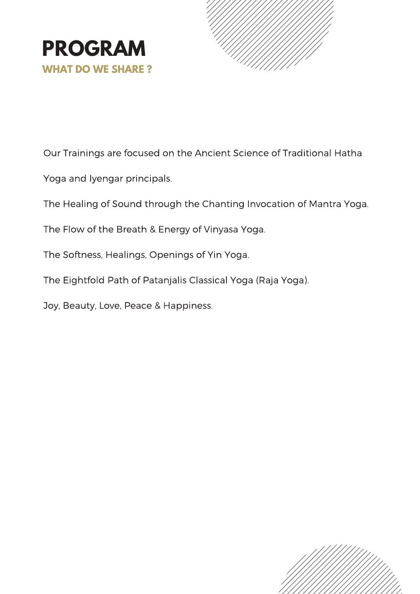



Our Trainings are focused on the Ancient Science of Traditional Hatha

Yoga and Iyengar principals.

The Healing of Sound through the Chanting Invocation of Mantra Yoga.

The Flow of the Breath & Energy of Vinyasa Yoga.

The Softness, Healings, Openings of Yin Yoga.

The Eightfold Path of Patanjalis Classical Yoga (Raja Yoga).

Joy, Beauty, Love, Peace & Happiness.

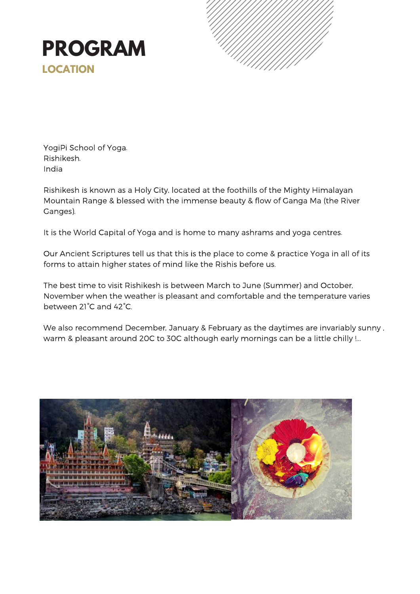



YogiPi School of Yoga. Rishikesh. India

Rishikesh is known as a Holy City, located at the foothills of the Mighty Himalayan Mountain Range & blessed with the immense beauty & flow of Ganga Ma (the River Ganges).

It is the World Capital of Yoga and is home to many ashrams and yoga centres.

Our Ancient Scriptures tell us that this is the place to come & practice Yoga in all of its forms to attain higher states of mind like the Rishis before us.

The best time to visit Rishikesh is between March to June (Summer) and October, November when the weather is pleasant and comfortable and the temperature varies between 21°C and 42°C.

We also recommend December, January & February as the daytimes are invariably sunny , warm & pleasant around 20C to 30C although early mornings can be a little chilly !...

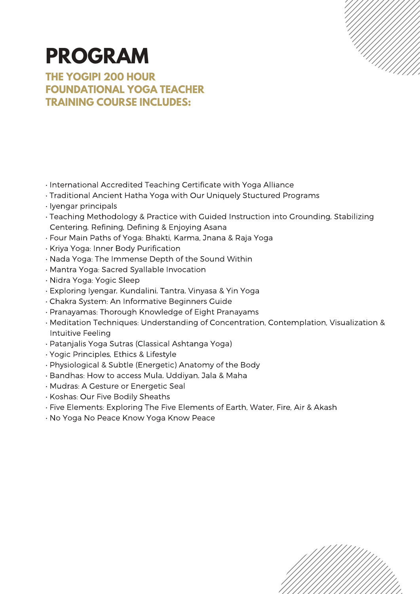## **PROGRAM**

**THE YOGIPI 200 HOUR FOUNDATIONAL YOGA TEACHER TRAINING COURSE INCLUDES:**

• International Accredited Teaching Certificate with Yoga Alliance

- Traditional Ancient Hatha Yoga with Our Uniquely Stuctured Programs
- Iyengar principals
- Teaching Methodology & Practice with Guided Instruction into Grounding, Stabilizing Centering, Refining, Defining & Enjoying Asana
- Four Main Paths of Yoga: Bhakti, Karma, Jnana & Raja Yoga
- Kriya Yoga: Inner Body Purification
- Nada Yoga: The Immense Depth of the Sound Within
- Mantra Yoga: Sacred Syallable Invocation
- Nidra Yoga: Yogic Sleep
- Exploring Iyengar, Kundalini, Tantra, Vinyasa & Yin Yoga
- Chakra System: An Informative Beginners Guide
- Pranayamas: Thorough Knowledge of Eight Pranayams
- Meditation Techniques: Understanding of Concentration, Contemplation, Visualization & Intuitive Feeling
- Patanjalis Yoga Sutras (Classical Ashtanga Yoga)
- Yogic Principles, Ethics & Lifestyle
- Physiological & Subtle (Energetic) Anatomy of the Body
- Bandhas: How to access Mula, Uddiyan, Jala & Maha
- Mudras: A Gesture or Energetic Seal
- Koshas: Our Five Bodily Sheaths
- Five Elements: Exploring The Five Elements of Earth, Water, Fire, Air & Akash
- No Yoga No Peace Know Yoga Know Peace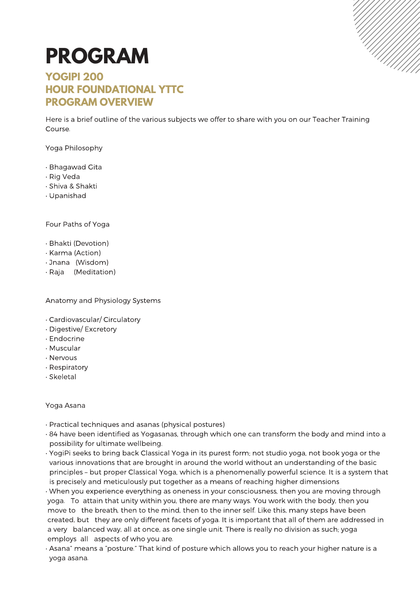# **PROGRAM**

### **YOGIPI 200 HOUR FOUNDATIONAL YTTC PROGRAM OVERVIEW**

Here is a brief outline of the various subjects we offer to share with you on our Teacher Training Course.

Yoga Philosophy

- Bhagawad Gita
- Rig Veda
- Shiva & Shakti
- Upanishad

Four Paths of Yoga

- Bhakti (Devotion)
- Karma (Action)
- Jnana (Wisdom)
- Raja (Meditation)

Anatomy and Physiology Systems

- Cardiovascular/ Circulatory
- Digestive/ Excretory
- Endocrine
- Muscular
- Nervous
- Respiratory
- Skeletal

#### Yoga Asana

- Practical techniques and asanas (physical postures)
- 84 have been identified as Yogasanas, through which one can transform the body and mind into a possibility for ultimate wellbeing.
- YogiPi seeks to bring back Classical Yoga in its purest form; not studio yoga, not book yoga or the various innovations that are brought in around the world without an understanding of the basic principles – but proper Classical Yoga, which is a phenomenally powerful science. It is a system that is precisely and meticulously put together as a means of reaching higher dimensions
- When you experience everything as oneness in your consciousness, then you are moving through yoga. To attain that unity within you, there are many ways. You work with the body, then you move to the breath, then to the mind, then to the inner self. Like this, many steps have been created, but they are only different facets of yoga. It is important that all of them are addressed in a very balanced way, all at once, as one single unit. There is really no division as such; yoga employs all aspects of who you are.
- Asana" means a "posture." That kind of posture which allows you to reach your higher nature is a yoga asana.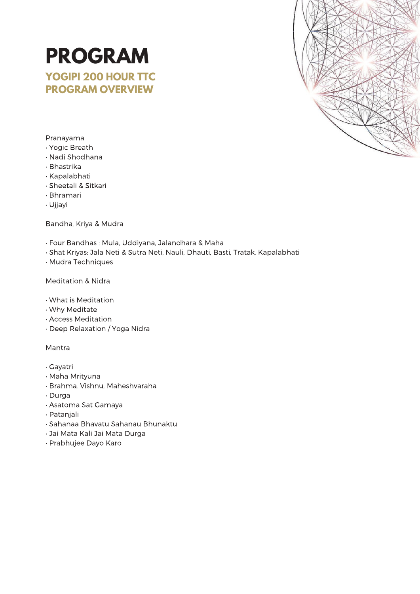

#### Pranayama

- Yogic Breath
- Nadi Shodhana

**PROGRAM**

**YOGIPI 200 HOUR TTC PROGRAM OVERVIEW**

- Bhastrika
- Kapalabhati
- Sheetali & Sitkari
- Bhramari
- Ujjayi

Bandha, Kriya & Mudra

- Four Bandhas : Mula, Uddiyana, Jalandhara & Maha
- Shat Kriyas: Jala Neti & Sutra Neti, Nauli, Dhauti, Basti, Tratak, Kapalabhati
- Mudra Techniques

Meditation & Nidra

- What is Meditation
- Why Meditate
- Access Meditation
- Deep Relaxation / Yoga Nidra

Mantra

- Gayatri
- Maha Mrityuna
- Brahma, Vishnu, Maheshvaraha
- Durga
- Asatoma Sat Gamaya
- Patanjali
- Sahanaa Bhavatu Sahanau Bhunaktu
- Jai Mata Kali Jai Mata Durga
- Prabhujee Dayo Karo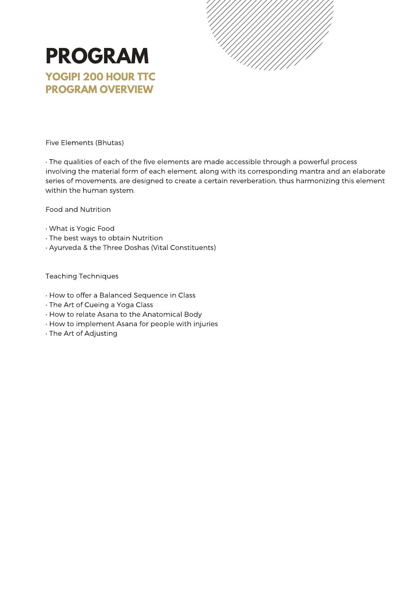

### **PROGRAM YOGIPI 200 HOUR TTC PROGRAM OVERVIEW**

Five Elements (Bhutas)

• The qualities of each of the five elements are made accessible through a powerful process involving the material form of each element, along with its corresponding mantra and an elaborate series of movements, are designed to create a certain reverberation, thus harmonizing this element within the human system.

Food and Nutrition

- What is Yogic Food
- The best ways to obtain Nutrition
- Ayurveda & the Three Doshas (Vital Constituents)

Teaching Techniques

- How to offer a Balanced Sequence in Class
- The Art of Cueing a Yoga Class
- How to relate Asana to the Anatomical Body
- How to implement Asana for people with injuries
- The Art of Adjusting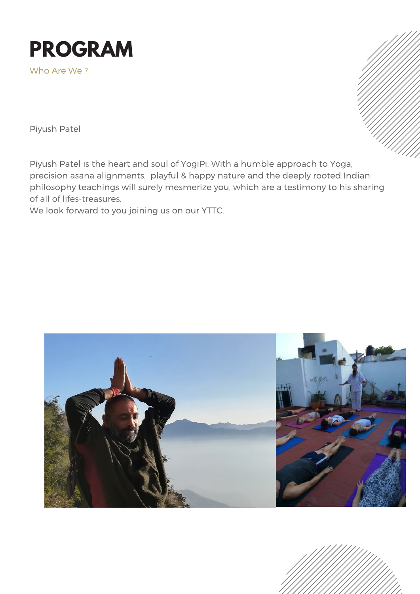

Who Are We ?

Piyush Patel

Piyush Patel is the heart and soul of YogiPi. With a humble approach to Yoga, precision asana alignments, playful & happy nature and the deeply rooted Indian philosophy teachings will surely mesmerize you, which are a testimony to his sharing of all of lifes-treasures.

We look forward to you joining us on our YTTC.



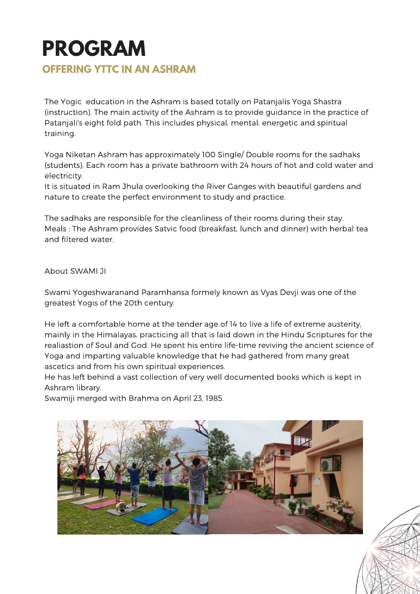## **PROGRAM OFFERING YTTC IN AN ASHRAM**

The Yogic education in the Ashram is based totally on Patanjalis Yoga Shastra (instruction). The main activity of the Ashram is to provide guidance in the practice of Patanjali's eight fold path. This includes physical, mental, energetic and spiritual training.

Yoga Niketan Ashram has approximately 100 Single/ Double rooms for the sadhaks (students). Each room has a private bathroom with 24 hours of hot and cold water and electricity.

It is situated in Ram Jhula overlooking the River Ganges with beautiful gardens and nature to create the perfect environment to study and practice.

The sadhaks are responsible for the cleanliness of their rooms during their stay. Meals : The Ashram provides Satvic food (breakfast, lunch and dinner) with herbal tea and filtered water.

About SWAMI JI

Swami Yogeshwaranand Paramhansa formely known as Vyas Devji was one of the greatest Yogis of the 20th century.

He left a comfortable home at the tender age of 14 to live a life of extreme austerity, mainly in the Himalayas, practicing all that is laid down in the Hindu Scriptures for the realiastion of Soul and God. He spent his entire life-time reviving the ancient science of Yoga and imparting valuable knowledge that he had gathered from many great ascetics and from his own spiritual experiences.

He has left behind a vast collection of very well documented books which is kept in Ashram library.

Swamiji merged with Brahma on April 23, 1985.

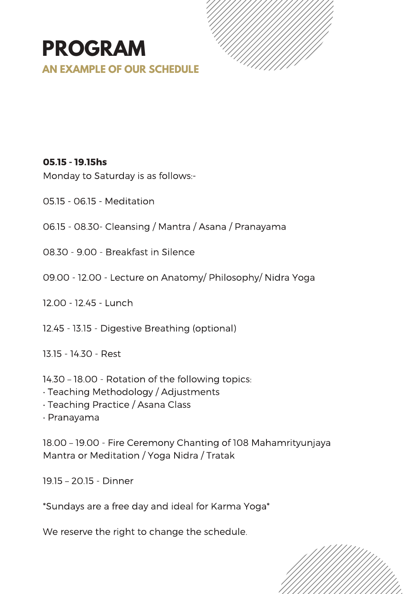## **PROGRAM AN EXAMPLE OF OUR SCHEDULE**



#### 05.15 - 19.15hs

Monday to Saturday is as follows:-

- 05.15 06.15 Meditation
- 06.15 08.30- Cleansing / Mantra / Asana / Pranayama
- 08.30 9.00 Breakfast in Silence
- 09.00 12.00 Lecture on Anatomy/ Philosophy/ Nidra Yoga
- 12.00 12.45 Lunch
- 12.45 13.15 Digestive Breathing (optional)
- 13.15 14.30 Rest
- 14.30 18.00 Rotation of the following topics:
- Teaching Methodology / Adjustments
- Teaching Practice / Asana Class
- Pranayama

18.00 – 19.00 - Fire Ceremony Chanting of 108 Mahamrityunjaya Mantra or Meditation / Yoga Nidra / Tratak

19.15 – 20.15 - Dinner

\*Sundays are a free day and ideal for Karma Yoga\*

We reserve the right to change the schedule.